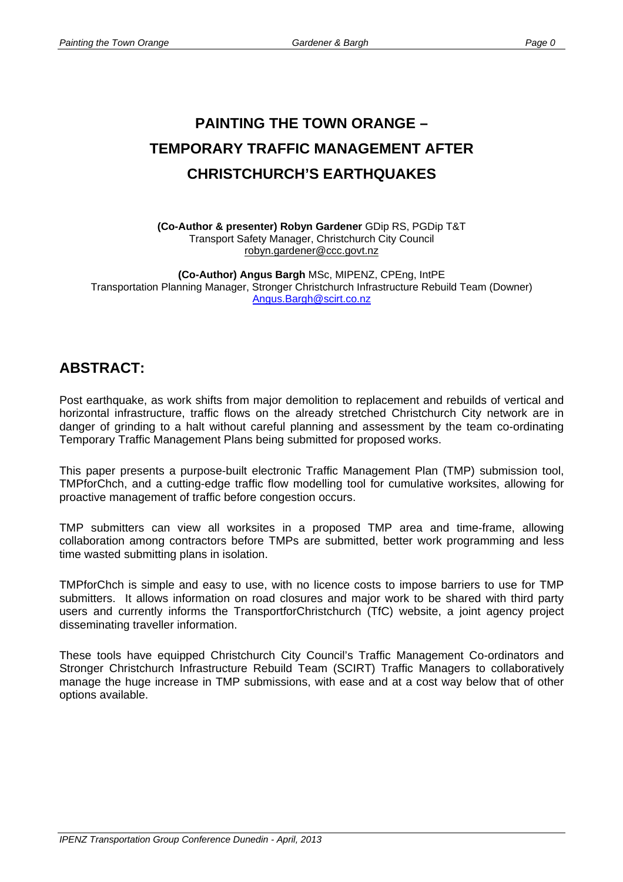# **PAINTING THE TOWN ORANGE – TEMPORARY TRAFFIC MANAGEMENT AFTER CHRISTCHURCH'S EARTHQUAKES**

**(Co-Author & presenter) Robyn Gardener** GDip RS, PGDip T&T Transport Safety Manager, Christchurch City Council robyn.gardener@ccc.govt.nz

**(Co-Author) Angus Bargh** MSc, MIPENZ, CPEng, IntPE Transportation Planning Manager, Stronger Christchurch Infrastructure Rebuild Team (Downer) Angus.Bargh@scirt.co.nz

# **ABSTRACT:**

Post earthquake, as work shifts from major demolition to replacement and rebuilds of vertical and horizontal infrastructure, traffic flows on the already stretched Christchurch City network are in danger of grinding to a halt without careful planning and assessment by the team co-ordinating Temporary Traffic Management Plans being submitted for proposed works.

This paper presents a purpose-built electronic Traffic Management Plan (TMP) submission tool, TMPforChch, and a cutting-edge traffic flow modelling tool for cumulative worksites, allowing for proactive management of traffic before congestion occurs.

TMP submitters can view all worksites in a proposed TMP area and time-frame, allowing collaboration among contractors before TMPs are submitted, better work programming and less time wasted submitting plans in isolation.

TMPforChch is simple and easy to use, with no licence costs to impose barriers to use for TMP submitters. It allows information on road closures and major work to be shared with third party users and currently informs the TransportforChristchurch (TfC) website, a joint agency project disseminating traveller information.

These tools have equipped Christchurch City Council's Traffic Management Co-ordinators and Stronger Christchurch Infrastructure Rebuild Team (SCIRT) Traffic Managers to collaboratively manage the huge increase in TMP submissions, with ease and at a cost way below that of other options available.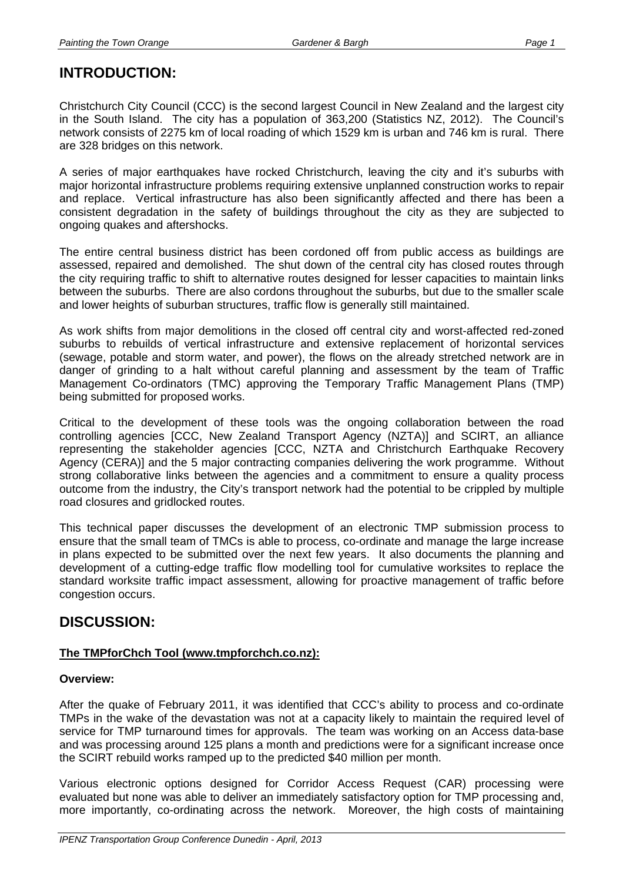# **INTRODUCTION:**

Christchurch City Council (CCC) is the second largest Council in New Zealand and the largest city in the South Island. The city has a population of 363,200 (Statistics NZ, 2012). The Council's network consists of 2275 km of local roading of which 1529 km is urban and 746 km is rural. There are 328 bridges on this network.

A series of major earthquakes have rocked Christchurch, leaving the city and it's suburbs with major horizontal infrastructure problems requiring extensive unplanned construction works to repair and replace. Vertical infrastructure has also been significantly affected and there has been a consistent degradation in the safety of buildings throughout the city as they are subjected to ongoing quakes and aftershocks.

The entire central business district has been cordoned off from public access as buildings are assessed, repaired and demolished. The shut down of the central city has closed routes through the city requiring traffic to shift to alternative routes designed for lesser capacities to maintain links between the suburbs. There are also cordons throughout the suburbs, but due to the smaller scale and lower heights of suburban structures, traffic flow is generally still maintained.

As work shifts from major demolitions in the closed off central city and worst-affected red-zoned suburbs to rebuilds of vertical infrastructure and extensive replacement of horizontal services (sewage, potable and storm water, and power), the flows on the already stretched network are in danger of grinding to a halt without careful planning and assessment by the team of Traffic Management Co-ordinators (TMC) approving the Temporary Traffic Management Plans (TMP) being submitted for proposed works.

Critical to the development of these tools was the ongoing collaboration between the road controlling agencies [CCC, New Zealand Transport Agency (NZTA)] and SCIRT, an alliance representing the stakeholder agencies [CCC, NZTA and Christchurch Earthquake Recovery Agency (CERA)] and the 5 major contracting companies delivering the work programme. Without strong collaborative links between the agencies and a commitment to ensure a quality process outcome from the industry, the City's transport network had the potential to be crippled by multiple road closures and gridlocked routes.

This technical paper discusses the development of an electronic TMP submission process to ensure that the small team of TMCs is able to process, co-ordinate and manage the large increase in plans expected to be submitted over the next few years. It also documents the planning and development of a cutting-edge traffic flow modelling tool for cumulative worksites to replace the standard worksite traffic impact assessment, allowing for proactive management of traffic before congestion occurs.

### **DISCUSSION:**

#### **The TMPforChch Tool (www.tmpforchch.co.nz):**

#### **Overview:**

After the quake of February 2011, it was identified that CCC's ability to process and co-ordinate TMPs in the wake of the devastation was not at a capacity likely to maintain the required level of service for TMP turnaround times for approvals. The team was working on an Access data-base and was processing around 125 plans a month and predictions were for a significant increase once the SCIRT rebuild works ramped up to the predicted \$40 million per month.

Various electronic options designed for Corridor Access Request (CAR) processing were evaluated but none was able to deliver an immediately satisfactory option for TMP processing and, more importantly, co-ordinating across the network. Moreover, the high costs of maintaining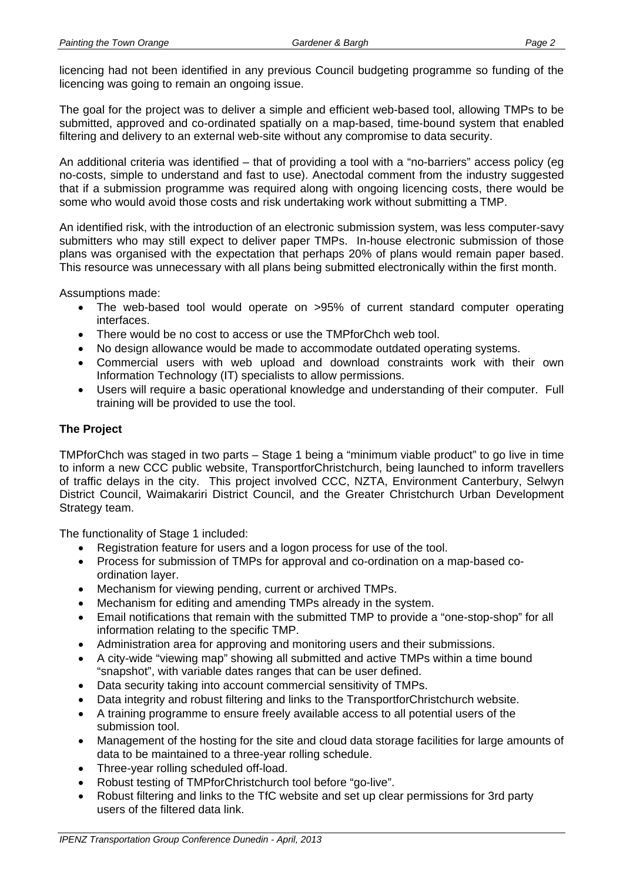licencing had not been identified in any previous Council budgeting programme so funding of the licencing was going to remain an ongoing issue.

The goal for the project was to deliver a simple and efficient web-based tool, allowing TMPs to be submitted, approved and co-ordinated spatially on a map-based, time-bound system that enabled filtering and delivery to an external web-site without any compromise to data security.

An additional criteria was identified – that of providing a tool with a "no-barriers" access policy (eg no-costs, simple to understand and fast to use). Anectodal comment from the industry suggested that if a submission programme was required along with ongoing licencing costs, there would be some who would avoid those costs and risk undertaking work without submitting a TMP.

An identified risk, with the introduction of an electronic submission system, was less computer-savy submitters who may still expect to deliver paper TMPs. In-house electronic submission of those plans was organised with the expectation that perhaps 20% of plans would remain paper based. This resource was unnecessary with all plans being submitted electronically within the first month.

Assumptions made:

- The web-based tool would operate on >95% of current standard computer operating interfaces.
- There would be no cost to access or use the TMPforChch web tool.
- No design allowance would be made to accommodate outdated operating systems.
- Commercial users with web upload and download constraints work with their own Information Technology (IT) specialists to allow permissions.
- Users will require a basic operational knowledge and understanding of their computer. Full training will be provided to use the tool.

#### **The Project**

TMPforChch was staged in two parts – Stage 1 being a "minimum viable product" to go live in time to inform a new CCC public website, TransportforChristchurch, being launched to inform travellers of traffic delays in the city. This project involved CCC, NZTA, Environment Canterbury, Selwyn District Council, Waimakariri District Council, and the Greater Christchurch Urban Development Strategy team.

The functionality of Stage 1 included:

- Registration feature for users and a logon process for use of the tool.
- Process for submission of TMPs for approval and co-ordination on a map-based coordination layer.
- Mechanism for viewing pending, current or archived TMPs.
- Mechanism for editing and amending TMPs already in the system.
- Email notifications that remain with the submitted TMP to provide a "one-stop-shop" for all information relating to the specific TMP.
- Administration area for approving and monitoring users and their submissions.
- A city-wide "viewing map" showing all submitted and active TMPs within a time bound "snapshot", with variable dates ranges that can be user defined.
- Data security taking into account commercial sensitivity of TMPs.
- Data integrity and robust filtering and links to the TransportforChristchurch website.
- A training programme to ensure freely available access to all potential users of the submission tool.
- Management of the hosting for the site and cloud data storage facilities for large amounts of data to be maintained to a three-year rolling schedule.
- Three-year rolling scheduled off-load.
- Robust testing of TMPforChristchurch tool before "go-live".
- Robust filtering and links to the TfC website and set up clear permissions for 3rd party users of the filtered data link.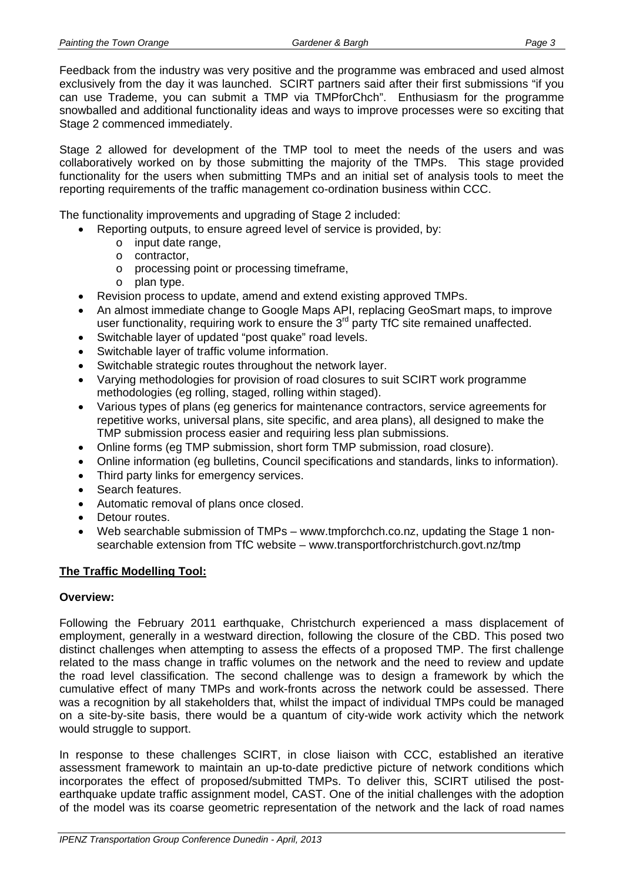Feedback from the industry was very positive and the programme was embraced and used almost exclusively from the day it was launched. SCIRT partners said after their first submissions "if you can use Trademe, you can submit a TMP via TMPforChch". Enthusiasm for the programme snowballed and additional functionality ideas and ways to improve processes were so exciting that Stage 2 commenced immediately.

Stage 2 allowed for development of the TMP tool to meet the needs of the users and was collaboratively worked on by those submitting the majority of the TMPs. This stage provided functionality for the users when submitting TMPs and an initial set of analysis tools to meet the reporting requirements of the traffic management co-ordination business within CCC.

The functionality improvements and upgrading of Stage 2 included:

- Reporting outputs, to ensure agreed level of service is provided, by:
	- o input date range,
	- o contractor,
	- o processing point or processing timeframe,
	- o plan type.
- Revision process to update, amend and extend existing approved TMPs.
- An almost immediate change to Google Maps API, replacing GeoSmart maps, to improve user functionality, requiring work to ensure the 3<sup>rd</sup> party TfC site remained unaffected.
- Switchable layer of updated "post quake" road levels.
- Switchable layer of traffic volume information.
- Switchable strategic routes throughout the network layer.
- Varying methodologies for provision of road closures to suit SCIRT work programme methodologies (eg rolling, staged, rolling within staged).
- Various types of plans (eg generics for maintenance contractors, service agreements for repetitive works, universal plans, site specific, and area plans), all designed to make the TMP submission process easier and requiring less plan submissions.
- Online forms (eg TMP submission, short form TMP submission, road closure).
- Online information (eg bulletins, Council specifications and standards, links to information).
- Third party links for emergency services.
- **Search features**
- Automatic removal of plans once closed.
- Detour routes.
- Web searchable submission of TMPs www.tmpforchch.co.nz, updating the Stage 1 nonsearchable extension from TfC website – www.transportforchristchurch.govt.nz/tmp

#### **The Traffic Modelling Tool:**

#### **Overview:**

Following the February 2011 earthquake, Christchurch experienced a mass displacement of employment, generally in a westward direction, following the closure of the CBD. This posed two distinct challenges when attempting to assess the effects of a proposed TMP. The first challenge related to the mass change in traffic volumes on the network and the need to review and update the road level classification. The second challenge was to design a framework by which the cumulative effect of many TMPs and work-fronts across the network could be assessed. There was a recognition by all stakeholders that, whilst the impact of individual TMPs could be managed on a site-by-site basis, there would be a quantum of city-wide work activity which the network would struggle to support.

In response to these challenges SCIRT, in close liaison with CCC, established an iterative assessment framework to maintain an up-to-date predictive picture of network conditions which incorporates the effect of proposed/submitted TMPs. To deliver this, SCIRT utilised the postearthquake update traffic assignment model, CAST. One of the initial challenges with the adoption of the model was its coarse geometric representation of the network and the lack of road names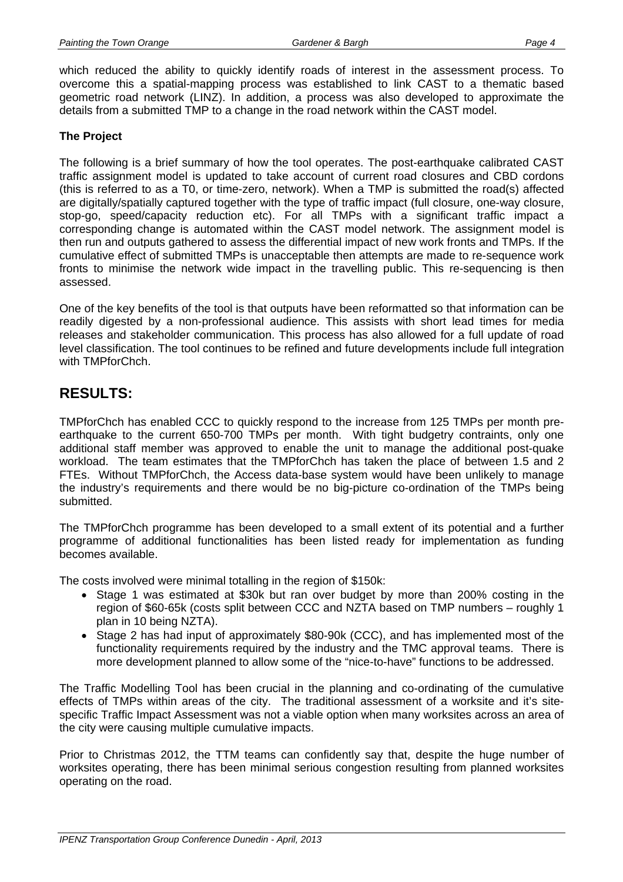which reduced the ability to quickly identify roads of interest in the assessment process. To overcome this a spatial-mapping process was established to link CAST to a thematic based geometric road network (LINZ). In addition, a process was also developed to approximate the details from a submitted TMP to a change in the road network within the CAST model.

#### **The Project**

The following is a brief summary of how the tool operates. The post-earthquake calibrated CAST traffic assignment model is updated to take account of current road closures and CBD cordons (this is referred to as a T0, or time-zero, network). When a TMP is submitted the road(s) affected are digitally/spatially captured together with the type of traffic impact (full closure, one-way closure, stop-go, speed/capacity reduction etc). For all TMPs with a significant traffic impact a corresponding change is automated within the CAST model network. The assignment model is then run and outputs gathered to assess the differential impact of new work fronts and TMPs. If the cumulative effect of submitted TMPs is unacceptable then attempts are made to re-sequence work fronts to minimise the network wide impact in the travelling public. This re-sequencing is then assessed.

One of the key benefits of the tool is that outputs have been reformatted so that information can be readily digested by a non-professional audience. This assists with short lead times for media releases and stakeholder communication. This process has also allowed for a full update of road level classification. The tool continues to be refined and future developments include full integration with TMPforChch.

### **RESULTS:**

TMPforChch has enabled CCC to quickly respond to the increase from 125 TMPs per month preearthquake to the current 650-700 TMPs per month. With tight budgetry contraints, only one additional staff member was approved to enable the unit to manage the additional post-quake workload. The team estimates that the TMPforChch has taken the place of between 1.5 and 2 FTEs. Without TMPforChch, the Access data-base system would have been unlikely to manage the industry's requirements and there would be no big-picture co-ordination of the TMPs being submitted.

The TMPforChch programme has been developed to a small extent of its potential and a further programme of additional functionalities has been listed ready for implementation as funding becomes available.

The costs involved were minimal totalling in the region of \$150k:

- Stage 1 was estimated at \$30k but ran over budget by more than 200% costing in the region of \$60-65k (costs split between CCC and NZTA based on TMP numbers – roughly 1 plan in 10 being NZTA).
- Stage 2 has had input of approximately \$80-90k (CCC), and has implemented most of the functionality requirements required by the industry and the TMC approval teams. There is more development planned to allow some of the "nice-to-have" functions to be addressed.

The Traffic Modelling Tool has been crucial in the planning and co-ordinating of the cumulative effects of TMPs within areas of the city. The traditional assessment of a worksite and it's sitespecific Traffic Impact Assessment was not a viable option when many worksites across an area of the city were causing multiple cumulative impacts.

Prior to Christmas 2012, the TTM teams can confidently say that, despite the huge number of worksites operating, there has been minimal serious congestion resulting from planned worksites operating on the road.